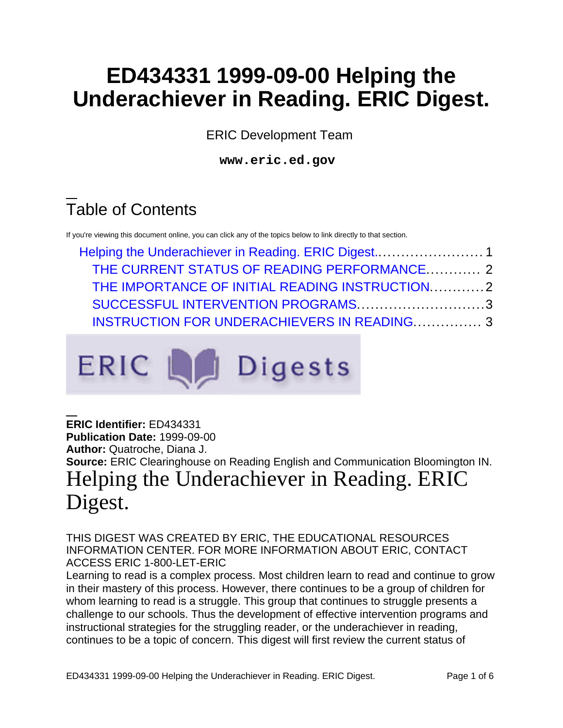# **ED434331 1999-09-00 Helping the Underachiever in Reading. ERIC Digest.**

ERIC Development Team

**www.eric.ed.gov**

# Table of Contents

ERIC L

If you're viewing this document online, you can click any of the topics below to link directly to that section.

| THE CURRENT STATUS OF READING PERFORMANCE 2        |  |
|----------------------------------------------------|--|
| THE IMPORTANCE OF INITIAL READING INSTRUCTION2     |  |
| SUCCESSFUL INTERVENTION PROGRAMS3                  |  |
| <b>INSTRUCTION FOR UNDERACHIEVERS IN READING 3</b> |  |

**Digests** 

<span id="page-0-0"></span>**ERIC Identifier:** ED434331 **Publication Date:** 1999-09-00 **Author:** Quatroche, Diana J. **Source:** ERIC Clearinghouse on Reading English and Communication Bloomington IN. Helping the Underachiever in Reading. ERIC Digest.

THIS DIGEST WAS CREATED BY ERIC, THE EDUCATIONAL RESOURCES INFORMATION CENTER. FOR MORE INFORMATION ABOUT ERIC, CONTACT ACCESS ERIC 1-800-LET-ERIC

Learning to read is a complex process. Most children learn to read and continue to grow in their mastery of this process. However, there continues to be a group of children for whom learning to read is a struggle. This group that continues to struggle presents a challenge to our schools. Thus the development of effective intervention programs and instructional strategies for the struggling reader, or the underachiever in reading, continues to be a topic of concern. This digest will first review the current status of

ED434331 1999-09-00 Helping the Underachiever in Reading. ERIC Digest. Page 1 of 6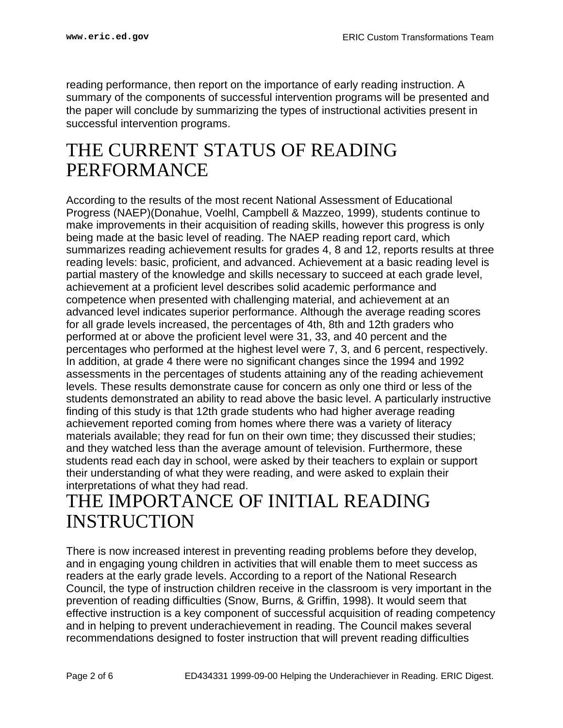reading performance, then report on the importance of early reading instruction. A summary of the components of successful intervention programs will be presented and the paper will conclude by summarizing the types of instructional activities present in successful intervention programs.

## <span id="page-1-0"></span>THE CURRENT STATUS OF READING PERFORMANCE

According to the results of the most recent National Assessment of Educational Progress (NAEP)(Donahue, Voelhl, Campbell & Mazzeo, 1999), students continue to make improvements in their acquisition of reading skills, however this progress is only being made at the basic level of reading. The NAEP reading report card, which summarizes reading achievement results for grades 4, 8 and 12, reports results at three reading levels: basic, proficient, and advanced. Achievement at a basic reading level is partial mastery of the knowledge and skills necessary to succeed at each grade level, achievement at a proficient level describes solid academic performance and competence when presented with challenging material, and achievement at an advanced level indicates superior performance. Although the average reading scores for all grade levels increased, the percentages of 4th, 8th and 12th graders who performed at or above the proficient level were 31, 33, and 40 percent and the percentages who performed at the highest level were 7, 3, and 6 percent, respectively. In addition, at grade 4 there were no significant changes since the 1994 and 1992 assessments in the percentages of students attaining any of the reading achievement levels. These results demonstrate cause for concern as only one third or less of the students demonstrated an ability to read above the basic level. A particularly instructive finding of this study is that 12th grade students who had higher average reading achievement reported coming from homes where there was a variety of literacy materials available; they read for fun on their own time; they discussed their studies; and they watched less than the average amount of television. Furthermore, these students read each day in school, were asked by their teachers to explain or support their understanding of what they were reading, and were asked to explain their interpretations of what they had read.

## <span id="page-1-1"></span>THE IMPORTANCE OF INITIAL READING INSTRUCTION

There is now increased interest in preventing reading problems before they develop, and in engaging young children in activities that will enable them to meet success as readers at the early grade levels. According to a report of the National Research Council, the type of instruction children receive in the classroom is very important in the prevention of reading difficulties (Snow, Burns, & Griffin, 1998). It would seem that effective instruction is a key component of successful acquisition of reading competency and in helping to prevent underachievement in reading. The Council makes several recommendations designed to foster instruction that will prevent reading difficulties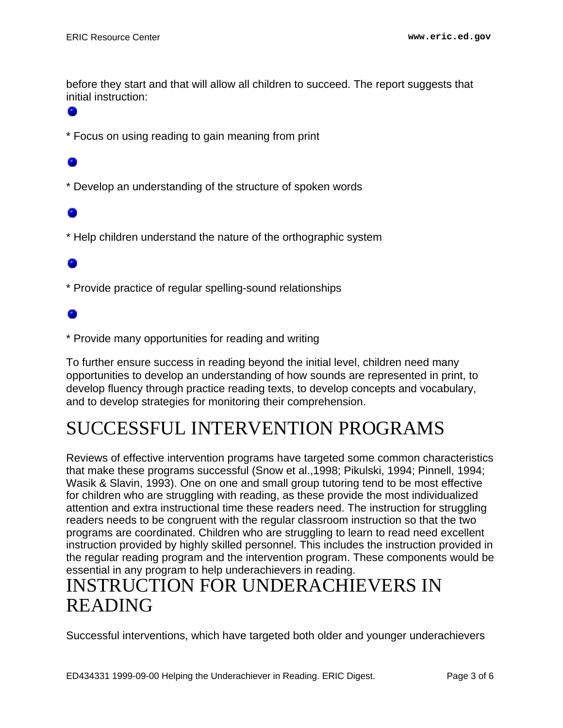before they start and that will allow all children to succeed. The report suggests that initial instruction:

\* Focus on using reading to gain meaning from print

\* Develop an understanding of the structure of spoken words

\* Help children understand the nature of the orthographic system

### ۰

\* Provide practice of regular spelling-sound relationships

\* Provide many opportunities for reading and writing

To further ensure success in reading beyond the initial level, children need many opportunities to develop an understanding of how sounds are represented in print, to develop fluency through practice reading texts, to develop concepts and vocabulary, and to develop strategies for monitoring their comprehension.

## <span id="page-2-0"></span>SUCCESSFUL INTERVENTION PROGRAMS

Reviews of effective intervention programs have targeted some common characteristics that make these programs successful (Snow et al.,1998; Pikulski, 1994; Pinnell, 1994; Wasik & Slavin, 1993). One on one and small group tutoring tend to be most effective for children who are struggling with reading, as these provide the most individualized attention and extra instructional time these readers need. The instruction for struggling readers needs to be congruent with the regular classroom instruction so that the two programs are coordinated. Children who are struggling to learn to read need excellent instruction provided by highly skilled personnel. This includes the instruction provided in the regular reading program and the intervention program. These components would be essential in any program to help underachievers in reading.

## <span id="page-2-1"></span>INSTRUCTION FOR UNDERACHIEVERS IN READING

Successful interventions, which have targeted both older and younger underachievers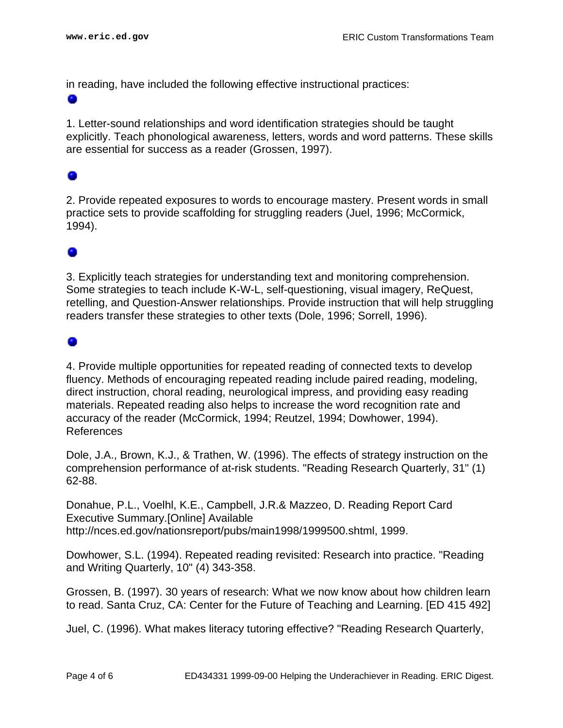in reading, have included the following effective instructional practices:

۰

1. Letter-sound relationships and word identification strategies should be taught explicitly. Teach phonological awareness, letters, words and word patterns. These skills are essential for success as a reader (Grossen, 1997).

### 0

2. Provide repeated exposures to words to encourage mastery. Present words in small practice sets to provide scaffolding for struggling readers (Juel, 1996; McCormick, 1994).

### ۰

3. Explicitly teach strategies for understanding text and monitoring comprehension. Some strategies to teach include K-W-L, self-questioning, visual imagery, ReQuest, retelling, and Question-Answer relationships. Provide instruction that will help struggling readers transfer these strategies to other texts (Dole, 1996; Sorrell, 1996).

### ۰

4. Provide multiple opportunities for repeated reading of connected texts to develop fluency. Methods of encouraging repeated reading include paired reading, modeling, direct instruction, choral reading, neurological impress, and providing easy reading materials. Repeated reading also helps to increase the word recognition rate and accuracy of the reader (McCormick, 1994; Reutzel, 1994; Dowhower, 1994). References

Dole, J.A., Brown, K.J., & Trathen, W. (1996). The effects of strategy instruction on the comprehension performance of at-risk students. "Reading Research Quarterly, 31" (1) 62-88.

Donahue, P.L., Voelhl, K.E., Campbell, J.R.& Mazzeo, D. Reading Report Card Executive Summary.[Online] Available http://nces.ed.gov/nationsreport/pubs/main1998/1999500.shtml, 1999.

Dowhower, S.L. (1994). Repeated reading revisited: Research into practice. "Reading and Writing Quarterly, 10" (4) 343-358.

Grossen, B. (1997). 30 years of research: What we now know about how children learn to read. Santa Cruz, CA: Center for the Future of Teaching and Learning. [ED 415 492]

Juel, C. (1996). What makes literacy tutoring effective? "Reading Research Quarterly,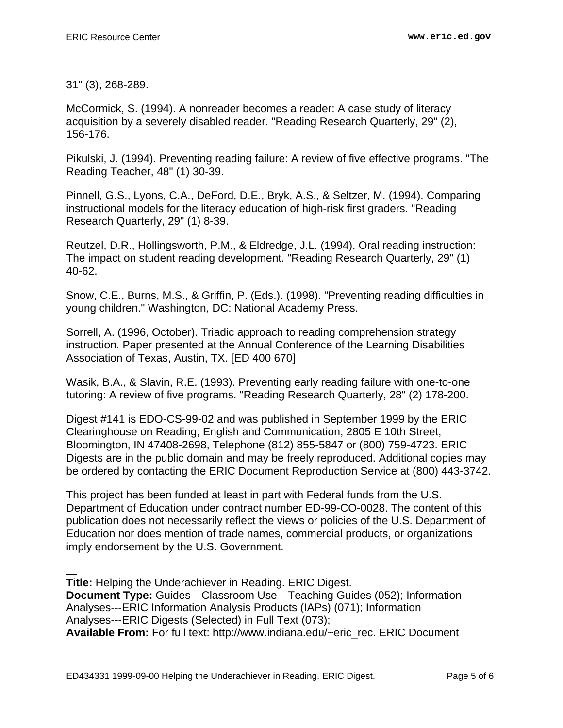31" (3), 268-289.

McCormick, S. (1994). A nonreader becomes a reader: A case study of literacy acquisition by a severely disabled reader. "Reading Research Quarterly, 29" (2), 156-176.

Pikulski, J. (1994). Preventing reading failure: A review of five effective programs. "The Reading Teacher, 48" (1) 30-39.

Pinnell, G.S., Lyons, C.A., DeFord, D.E., Bryk, A.S., & Seltzer, M. (1994). Comparing instructional models for the literacy education of high-risk first graders. "Reading Research Quarterly, 29" (1) 8-39.

Reutzel, D.R., Hollingsworth, P.M., & Eldredge, J.L. (1994). Oral reading instruction: The impact on student reading development. "Reading Research Quarterly, 29" (1) 40-62.

Snow, C.E., Burns, M.S., & Griffin, P. (Eds.). (1998). "Preventing reading difficulties in young children." Washington, DC: National Academy Press.

Sorrell, A. (1996, October). Triadic approach to reading comprehension strategy instruction. Paper presented at the Annual Conference of the Learning Disabilities Association of Texas, Austin, TX. [ED 400 670]

Wasik, B.A., & Slavin, R.E. (1993). Preventing early reading failure with one-to-one tutoring: A review of five programs. "Reading Research Quarterly, 28" (2) 178-200.

Digest #141 is EDO-CS-99-02 and was published in September 1999 by the ERIC Clearinghouse on Reading, English and Communication, 2805 E 10th Street, Bloomington, IN 47408-2698, Telephone (812) 855-5847 or (800) 759-4723. ERIC Digests are in the public domain and may be freely reproduced. Additional copies may be ordered by contacting the ERIC Document Reproduction Service at (800) 443-3742.

This project has been funded at least in part with Federal funds from the U.S. Department of Education under contract number ED-99-CO-0028. The content of this publication does not necessarily reflect the views or policies of the U.S. Department of Education nor does mention of trade names, commercial products, or organizations imply endorsement by the U.S. Government.

**Title:** Helping the Underachiever in Reading. ERIC Digest. **Document Type:** Guides---Classroom Use---Teaching Guides (052); Information Analyses---ERIC Information Analysis Products (IAPs) (071); Information Analyses---ERIC Digests (Selected) in Full Text (073); **Available From:** For full text: http://www.indiana.edu/~eric\_rec. ERIC Document